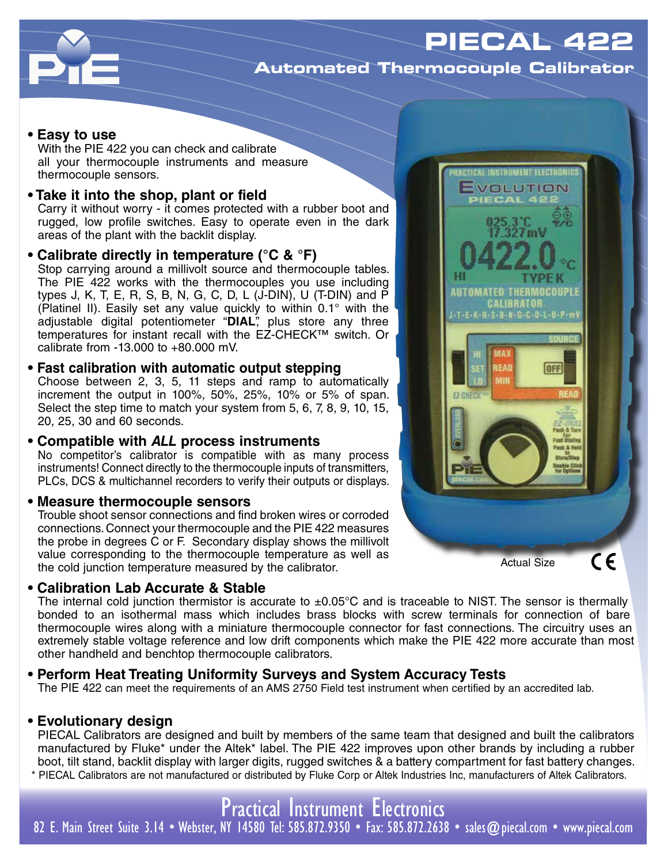

# **Automated Thermocouple Calibrator**

### **• Easy to use**

With the PIE 422 you can check and calibrate all your thermocouple instruments and measure thermocouple sensors.

# **• Take it into the shop, plant or field**

Carry it without worry - it comes protected with a rubber boot and rugged, low profile switches. Easy to operate even in the dark areas of the plant with the backlit display.

### **• Calibrate directly in temperature (°C & °F)**

Stop carrying around a millivolt source and thermocouple tables. The PIE 422 works with the thermocouples you use including types J, K, T, E, R, S, B, N, G, C, D, L (J-DIN), U (T-DIN) and P (Platinel II). Easily set any value quickly to within 0.1° with the adjustable digital potentiometer "DIAL<sup>"</sup>, plus store any three temperatures for instant recall with the EZ-CHECK™ switch. Or calibrate from -13.000 to +80.000 mV.

# **• Fast calibration with automatic output stepping**

Choose between 2, 3, 5, 11 steps and ramp to automatically increment the output in 100%, 50%, 25%, 10% or 5% of span. Select the step time to match your system from 5, 6, 7, 8, 9, 10, 15, 20, 25, 30 and 60 seconds.

## **• Compatible with** *ALL* **process instruments**

No competitor's calibrator is compatible with as many process instruments! Connect directly to the thermocouple inputs of transmitters, PLCs, DCS & multichannel recorders to verify their outputs or displays.

### **• Measure thermocouple sensors**

Trouble shoot sensor connections and find broken wires or corroded connections. Connect your thermocouple and the PIE 422 measures the probe in degrees C or F. Secondary display shows the millivolt value corresponding to the thermocouple temperature as well as the cold junction temperature measured by the calibrator.

## **• Calibration Lab Accurate & Stable**

RACTICAL INSTRUMENT ELECTRONIC EVOLUTION **AUTOMATED THERMOCOUPLE CALIBRATOR** J-T-E-K-R-S-B-N-G-C-D-L-U-P-m WA) **FAT OFF** Pesh & Ho  $\epsilon$ Actual Size

The internal cold junction thermistor is accurate to  $\pm 0.05^{\circ}$ C and is traceable to NIST. The sensor is thermally bonded to an isothermal mass which includes brass blocks with screw terminals for connection of bare thermocouple wires along with a miniature thermocouple connector for fast connections. The circuitry uses an extremely stable voltage reference and low drift components which make the PIE 422 more accurate than most other handheld and benchtop thermocouple calibrators.

# **• Perform Heat Treating Uniformity Surveys and System Accuracy Tests**

The PIE 422 can meet the requirements of an AMS 2750 Field test instrument when certified by an accredited lab.

# **• Evolutionary design**

PIECAL Calibrators are designed and built by members of the same team that designed and built the calibrators manufactured by Fluke\* under the Altek\* label. The PIE 422 improves upon other brands by including a rubber boot, tilt stand, backlit display with larger digits, rugged switches & a battery compartment for fast battery changes. \* PIECAL Calibrators are not manufactured or distributed by Fluke Corp or Altek Industries Inc, manufacturers of Altek Calibrators.

Practical Instrument Electronics

82 E. Main Street Suite 3.14 • Webster, NY 14580 Tel: 585.872.9350 • Fax: 585.872.2638 • sales@piecal.com • www.piecal.com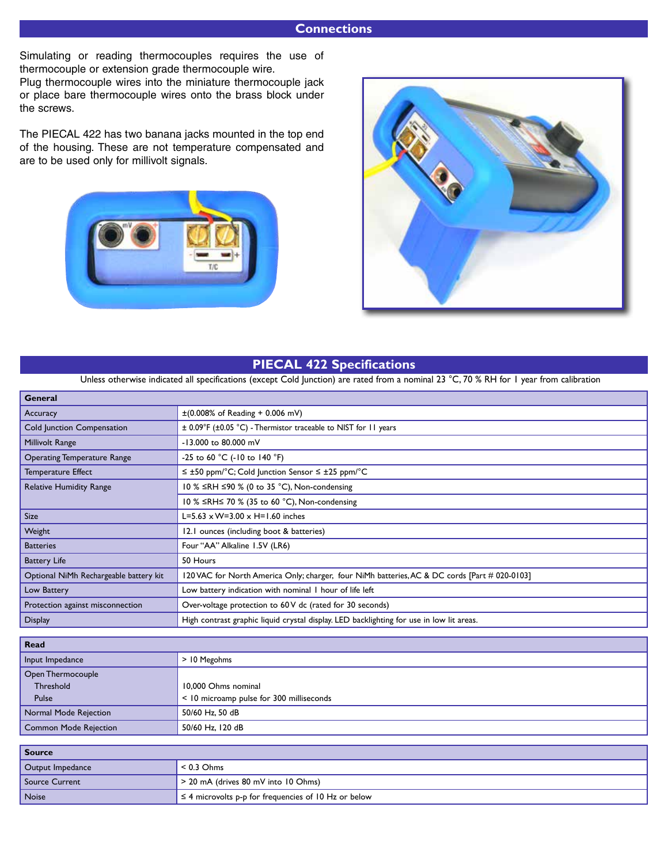## **Connections**

Simulating or reading thermocouples requires the use of thermocouple or extension grade thermocouple wire.

Plug thermocouple wires into the miniature thermocouple jack or place bare thermocouple wires onto the brass block under the screws.

The PIECAL 422 has two banana jacks mounted in the top end of the housing. These are not temperature compensated and are to be used only for millivolt signals.





# **PIECAL 422 Specifications**

Unless otherwise indicated all specifications (except Cold Junction) are rated from a nominal 23 °C, 70 % RH for 1 year from calibration

| $\pm (0.008\% \text{ of Reading } + 0.006 \text{ mV})$                                        |  |  |  |  |  |
|-----------------------------------------------------------------------------------------------|--|--|--|--|--|
| $\pm$ 0.09°F ( $\pm$ 0.05 °C) - Thermistor traceable to NIST for 11 years                     |  |  |  |  |  |
| -13.000 to 80.000 mV                                                                          |  |  |  |  |  |
| -25 to 60 °C (-10 to 140 °F)                                                                  |  |  |  |  |  |
| $\leq \pm 50$ ppm/°C; Cold Junction Sensor $\leq \pm 25$ ppm/°C                               |  |  |  |  |  |
| 10 % $\leq$ RH $\leq$ 90 % (0 to 35 °C), Non-condensing                                       |  |  |  |  |  |
| 10 % ≤RH≤ 70 % (35 to 60 °C), Non-condensing                                                  |  |  |  |  |  |
| L=5.63 $\times$ W=3.00 $\times$ H=1.60 inches                                                 |  |  |  |  |  |
| 12.1 ounces (including boot & batteries)                                                      |  |  |  |  |  |
| Four "AA" Alkaline 1.5V (LR6)                                                                 |  |  |  |  |  |
| 50 Hours                                                                                      |  |  |  |  |  |
| 120 VAC for North America Only; charger, four NiMh batteries, AC & DC cords [Part # 020-0103] |  |  |  |  |  |
| Low battery indication with nominal I hour of life left                                       |  |  |  |  |  |
| Over-voltage protection to 60 V dc (rated for 30 seconds)                                     |  |  |  |  |  |
| High contrast graphic liquid crystal display. LED backlighting for use in low lit areas.      |  |  |  |  |  |
|                                                                                               |  |  |  |  |  |

| <b>Read</b>                  |                                          |  |  |  |  |  |
|------------------------------|------------------------------------------|--|--|--|--|--|
| Input Impedance              | > 10 Megohms                             |  |  |  |  |  |
| Open Thermocouple            |                                          |  |  |  |  |  |
| Threshold                    | 10,000 Ohms nominal                      |  |  |  |  |  |
| Pulse                        | < 10 microamp pulse for 300 milliseconds |  |  |  |  |  |
| Normal Mode Rejection        | 50/60 Hz, 50 dB                          |  |  |  |  |  |
| <b>Common Mode Rejection</b> | 50/60 Hz, 120 dB                         |  |  |  |  |  |

| Source           |                                                           |  |  |  |  |  |  |
|------------------|-----------------------------------------------------------|--|--|--|--|--|--|
| Output Impedance | $< 0.3$ Ohms                                              |  |  |  |  |  |  |
| Source Current   | > 20 mA (drives 80 mV into 10 Ohms)                       |  |  |  |  |  |  |
| Noise            | $\leq$ 4 microvolts p-p for frequencies of 10 Hz or below |  |  |  |  |  |  |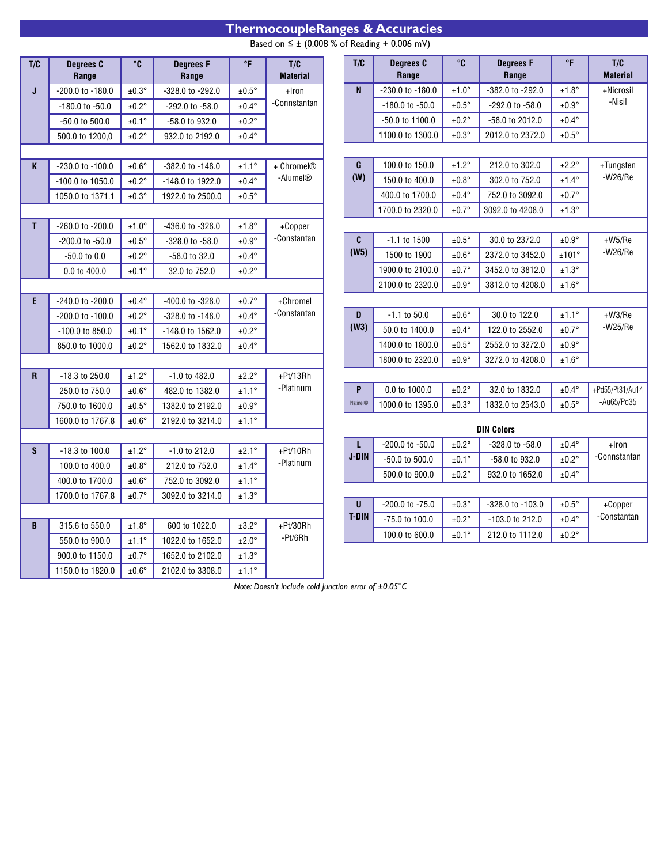# **ThermocoupleRanges & Accuracies**

Based on  $\leq \pm$  (0.008 % of Reading + 0.006 mV)

| T/C          | <b>Degrees C</b><br>Range | $^{\circ}$ C      | <b>Degrees F</b><br>Range | $\,^{\circ}$ F    | T/C<br><b>Material</b>                         |                  | T/C               | Degrees C<br>Range  | °C                | <b>Degrees F</b><br>Range | $\,^{\circ}$ F         | T/C<br><b>Material</b> |
|--------------|---------------------------|-------------------|---------------------------|-------------------|------------------------------------------------|------------------|-------------------|---------------------|-------------------|---------------------------|------------------------|------------------------|
| J            | -200.0 to -180.0          | $±0.3^{\circ}$    | -328.0 to -292.0          | $±0.5^\circ$      | $+$ Iron                                       |                  | $\mathbf{N}$      | -230.0 to -180.0    | $±1.0^{\circ}$    | -382.0 to -292.0          | $\pm 1.8^{\circ}$      | +Nicrosil              |
|              | -180.0 to -50.0           | $\pm 0.2^{\circ}$ | -292.0 to -58.0           | $\pm 0.4^{\circ}$ | -Connstantan                                   |                  |                   | $-180.0$ to $-50.0$ | $±0.5^{\circ}$    | -292.0 to -58.0           | $±0.9^{\circ}$         | -Nisil                 |
|              | -50.0 to 500.0            | ±0.1°             | -58.0 to 932.0            | ±0.2°             |                                                |                  |                   | -50.0 to 1100.0     | $\pm 0.2^{\circ}$ | -58.0 to 2012.0           | $±0.4^{\circ}$         |                        |
|              | 500.0 to 1200,0           | ±0.2°             | 932.0 to 2192.0           | $±0.4^{\circ}$    |                                                |                  |                   | 1100.0 to 1300.0    | $±0.3^\circ$      | 2012.0 to 2372.0          | $±0.5^\circ$           |                        |
|              |                           |                   |                           |                   |                                                |                  |                   |                     |                   |                           |                        |                        |
|              | K<br>-230.0 to -100.0     | $±0.6^{\circ}$    | -382.0 to -148.0          | $±1.1^{\circ}$    | + Chromel <sup>®</sup><br>-Alumel <sup>®</sup> |                  | G                 | 100.0 to 150.0      | $±1.2^\circ$      | 212.0 to 302.0            | $±2.2^\circ$           | +Tungsten              |
|              | -100.0 to 1050.0          | ±0.2°             | -148.0 to 1922.0          | $±0.4^{\circ}$    |                                                |                  | (W)               | 150.0 to 400.0      | $\pm 0.8^{\circ}$ | 302.0 to 752.0            | $±1.4^{\circ}$         | $-W26/Re$              |
|              | 1050.0 to 1371.1          | ±0.3°             | 1922.0 to 2500.0          | $±0.5^{\circ}$    |                                                |                  |                   | 400.0 to 1700.0     | $\pm 0.4^{\circ}$ | 752.0 to 3092.0           | $±0.7^{\circ}$         |                        |
|              |                           |                   |                           |                   |                                                |                  |                   | 1700.0 to 2320.0    | $\pm 0.7^{\circ}$ | 3092.0 to 4208.0          | $±1.3^\circ$           |                        |
| $\mathbf{T}$ | -260.0 to -200.0          | $±1.0^\circ$      | -436.0 to -328.0          | $±1.8^\circ$      | +Copper                                        |                  |                   |                     |                   |                           |                        |                        |
|              | -200.0 to -50.0           | $\pm 0.5^{\circ}$ | -328.0 to -58.0           | $±0.9^{\circ}$    | -Constantan                                    |                  | C                 | $-1.1$ to 1500      | $\pm 0.5^{\circ}$ | 30.0 to 2372.0            | $±0.9^{\circ}$         | $+W5/Re$               |
|              | -50.0 to 0.0              | ±0.2°             | -58.0 to 32.0             | $±0.4^{\circ}$    |                                                |                  | (W5)              | 1500 to 1900        | $±0.6^{\circ}$    | 2372.0 to 3452.0          | ±101°                  | $-W26/Re$              |
|              | 0.0 to 400.0              | ±0.1°             | 32.0 to 752.0             | ±0.2°             |                                                | 1900.0 to 2100.0 | $\pm 0.7^{\circ}$ | 3452.0 to 3812.0    | $±1.3^\circ$      |                           |                        |                        |
|              |                           |                   |                           |                   |                                                |                  |                   | 2100.0 to 2320.0    | $\pm 0.9^\circ$   | 3812.0 to 4208.0          | $±1.6^\circ$           |                        |
| E.           | -240.0 to -200.0          | $±0.4^{\circ}$    | -400.0 to -328.0          | $\pm 0.7^{\circ}$ | +Chromel                                       |                  |                   |                     |                   |                           |                        |                        |
|              | -200.0 to -100.0          | $±0.2^{\circ}$    | -328.0 to -148.0          | $±0.4^{\circ}$    | -Constantan                                    |                  | D                 | $-1.1$ to $50.0$    | $\pm 0.6^\circ$   | 30.0 to 122.0             | ±1.1°                  | $+W3/Re$               |
|              | -100.0 to 850.0           | $±0.1^{\circ}$    | -148.0 to 1562.0          | ±0.2°             |                                                |                  | (W3)              | 50.0 to 1400.0      | $\pm 0.4^{\circ}$ | 122.0 to 2552.0           | $\pm 0.7^\circ$        | $-W25/Re$              |
|              | 850.0 to 1000.0           | ±0.2°             | 1562.0 to 1832.0          | $±0.4^{\circ}$    |                                                |                  |                   | 1400.0 to 1800.0    | $±0.5^{\circ}$    | 2552.0 to 3272.0          | $±0.9^{\circ}$         |                        |
|              |                           |                   |                           |                   |                                                |                  |                   | 1800.0 to 2320.0    | $\pm 0.9^\circ$   | 3272.0 to 4208.0          | $±1.6^\circ$           |                        |
| $\mathbf{R}$ | -18.3 to 250.0            | ±1.2°             | -1.0 to 482.0             | ±2.2°             | +Pt/13Rh                                       |                  |                   |                     |                   |                           |                        |                        |
|              | 250.0 to 750.0            | $\pm 0.6^\circ$   | 482.0 to 1382.0           | ±1.1°             | -Platinum                                      |                  | P                 | 0.0 to 1000.0       | $±0.2^\circ$      | 32.0 to 1832.0            | $\pm 0.4^{\circ}$      | +Pd55/Pt31/Au14        |
|              | 750.0 to 1600.0           | $±0.5^{\circ}$    | 1382.0 to 2192.0          | $±0.9^{\circ}$    |                                                |                  | Platinel®         | 1000.0 to 1395.0    | $±0.3^{\circ}$    | 1832.0 to 2543.0          | $±0.5^\circ$           | -Au65/Pd35             |
|              | 1600.0 to 1767.8          | $±0.6^{\circ}$    | 2192.0 to 3214.0          | ±1.1°             |                                                |                  |                   |                     |                   |                           |                        |                        |
|              |                           |                   |                           |                   |                                                |                  |                   |                     | $\pm 0.2^{\circ}$ | <b>DIN Colors</b>         |                        |                        |
| S.           | -18.3 to 100.0            | ±1.2°             | -1.0 to 212.0             | $±2.1^{\circ}$    | +Pt/10Rh<br>-Platinum                          |                  | L<br><b>J-DIN</b> | -200.0 to -50.0     |                   | -328.0 to -58.0           | $±0.4^{\circ}$         | +Iron<br>-Connstantan  |
|              | 100.0 to 400.0            | $\pm 0.8^\circ$   | 212.0 to 752.0            | $±1.4^{\circ}$    |                                                |                  |                   | -50.0 to 500.0      | ±0.1°             | -58.0 to 932.0            | $±0.2^\circ$           |                        |
|              | 400.0 to 1700.0           | $\pm 0.6^\circ$   | 752.0 to 3092.0           | ±1.1°             |                                                |                  |                   | 500.0 to 900.0      | $\pm 0.2^\circ$   | 932.0 to 1652.0           | $±0.4^{\circ}$         |                        |
|              | 1700.0 to 1767.8          | $\pm 0.7^{\circ}$ | 3092.0 to 3214.0          | $±1.3^\circ$      |                                                |                  |                   |                     |                   |                           |                        |                        |
|              |                           |                   |                           |                   | $\mathsf{U}$<br><b>T-DIN</b>                   |                  | -200.0 to -75.0   | ±0.3°               | -328.0 to -103.0  | $±0.5^\circ$              | +Copper<br>-Constantan |                        |
| B.           | 315.6 to 550.0            | $±1.8^\circ$      | 600 to 1022.0             | $±3.2^{\circ}$    | $+Pt/30Rh$                                     |                  |                   | -75.0 to 100.0      | ±0.2°             | -103.0 to 212.0           | $±0.4^{\circ}$         |                        |
|              | 550.0 to 900.0            | ±1.1°             | 1022.0 to 1652.0          | $±2.0^\circ$      | -Pt/6Rh                                        |                  |                   | 100.0 to 600.0      | ±0.1°             | 212.0 to 1112.0           | ±0.2°                  |                        |
|              | 900.0 to 1150.0           | ±0.7°             | 1652.0 to 2102.0          | $±1.3^\circ$      |                                                |                  |                   |                     |                   |                           |                        |                        |
|              | 1150.0 to 1820.0          | $\pm 0.6^\circ$   | 2102.0 to 3308.0          | ±1.1°             |                                                |                  |                   |                     |                   |                           |                        |                        |

*Note: Doesn't include cold junction error of ±0.05°C*